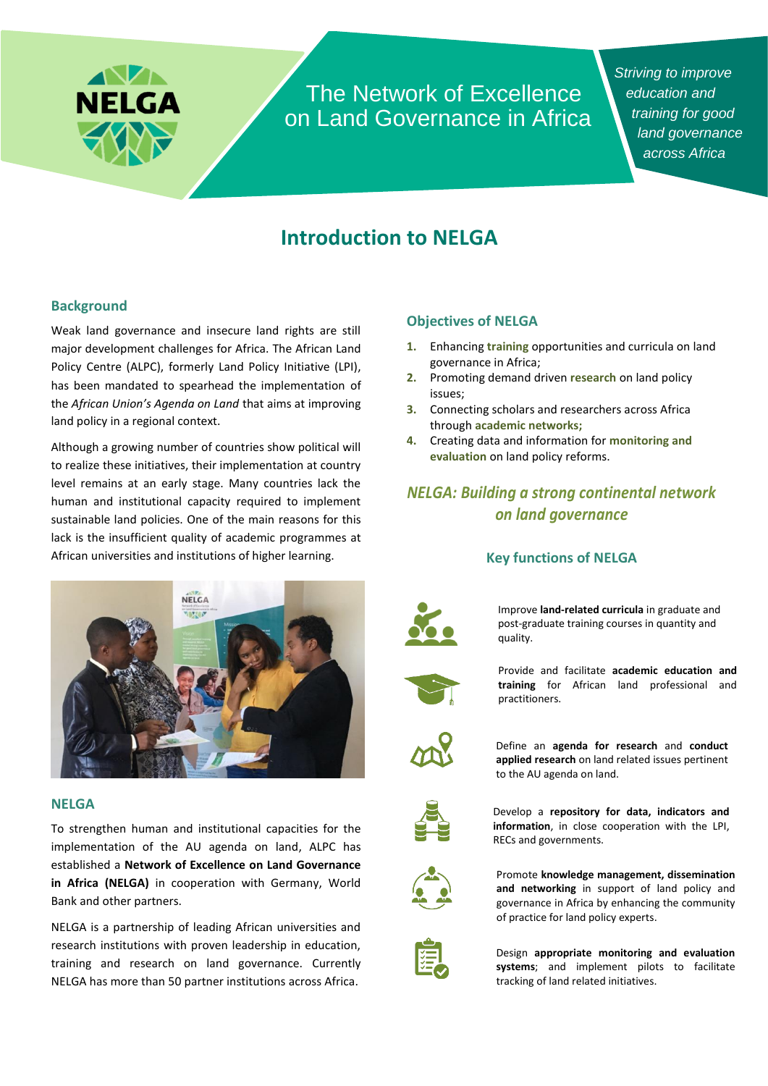

The Network of Excellence on Land Governance in Africa *Striving to improve education and training for good land governance across Africa*

# **Introduction to NELGA**

### **Background**

Weak land governance and insecure land rights are still major development challenges for Africa. The African Land Policy Centre (ALPC), formerly Land Policy Initiative (LPI), has been mandated to spearhead the implementation of the *African Union's Agenda on Land* that aims at improving land policy in a regional context.

Although a growing number of countries show political will to realize these initiatives, their implementation at country level remains at an early stage. Many countries lack the human and institutional capacity required to implement sustainable land policies. One of the main reasons for this lack is the insufficient quality of academic programmes at African universities and institutions of higher learning.



#### **NELGA**

To strengthen human and institutional capacities for the implementation of the AU agenda on land, ALPC has established a **Network of Excellence on Land Governance in Africa (NELGA)** in cooperation with Germany, World Bank and other partners.

NELGA is a partnership of leading African universities and research institutions with proven leadership in education, training and research on land governance. Currently NELGA has more than 50 partner institutions across Africa.

### **Objectives of NELGA**

- **1.** Enhancing **training** opportunities and curricula on land governance in Africa;
- **2.** Promoting demand driven **research** on land policy issues;
- **3.** Connecting scholars and researchers across Africa through **academic networks;**
- **4.** Creating data and information for **monitoring and evaluation** on land policy reforms.

# *NELGA: Building a strong continental network on land governance*

### **Key functions of NELGA**



Improve **land-related curricula** in graduate and post-graduate training courses in quantity and quality.



Provide and facilitate **academic education and training** for African land professional and practitioners.



Define an **agenda for research** and **conduct applied research** on land related issues pertinent to the AU agenda on land.



Develop a **repository for data, indicators and information**, in close cooperation with the LPI, RECs and governments.



Promote **knowledge management, dissemination and networking** in support of land policy and governance in Africa by enhancing the community of practice for land policy experts.



Design **appropriate monitoring and evaluation systems**; and implement pilots to facilitate tracking of land related initiatives.